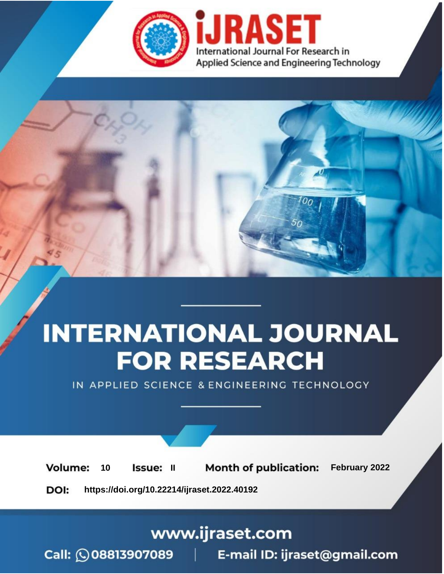

# **INTERNATIONAL JOURNAL FOR RESEARCH**

IN APPLIED SCIENCE & ENGINEERING TECHNOLOGY

**Month of publication:** February 2022 **Volume:** 10 **Issue: II** DOI: https://doi.org/10.22214/ijraset.2022.40192

www.ijraset.com

 $Call: \bigcirc$ 08813907089 E-mail ID: ijraset@gmail.com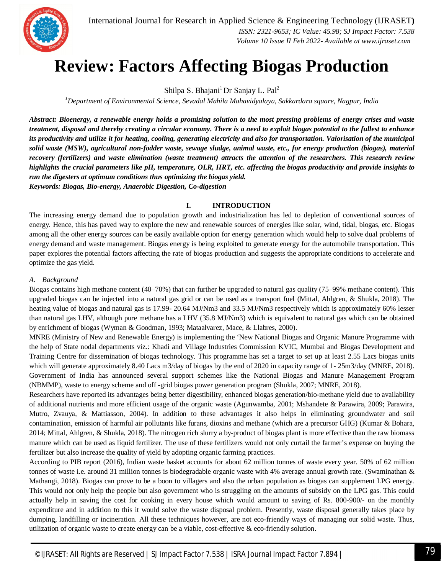

# **Review: Factors Affecting Biogas Production**

Shilpa S. Bhajani<sup>1</sup>Dr Sanjay L. Pal<sup>2</sup>

*<sup>1</sup>Department of Environmental Science, Sevadal Mahila Mahavidyalaya, Sakkardara square, Nagpur, India*

*Abstract: Bioenergy, a renewable energy holds a promising solution to the most pressing problems of energy crises and waste treatment, disposal and thereby creating a circular economy. There is a need to exploit biogas potential to the fullest to enhance its productivity and utilize it for heating, cooling, generating electricity and also for transportation. Valorisation of the municipal solid waste (MSW), agricultural non-fodder waste, sewage sludge, animal waste, etc., for energy production (biogas), material recovery (fertilizers) and waste elimination (waste treatment) attracts the attention of the researchers. This research review highlights the crucial parameters like pH, temperature, OLR, HRT, etc. affecting the biogas productivity and provide insights to run the digesters at optimum conditions thus optimizing the biogas yield. Keywords: Biogas, Bio-energy, Anaerobic Digestion, Co-digestion*

**I. INTRODUCTION**

The increasing energy demand due to population growth and industrialization has led to depletion of conventional sources of energy. Hence, this has paved way to explore the new and renewable sources of energies like solar, wind, tidal, biogas, etc. Biogas among all the other energy sources can be easily available option for energy generation which would help to solve dual problems of energy demand and waste management. Biogas energy is being exploited to generate energy for the automobile transportation. This paper explores the potential factors affecting the rate of biogas production and suggests the appropriate conditions to accelerate and optimize the gas yield.

### *A. Background*

Biogas contains high methane content (40–70%) that can further be upgraded to natural gas quality (75–99% methane content). This upgraded biogas can be injected into a natural gas grid or can be used as a transport fuel (Mittal, Ahlgren, & Shukla, 2018). The heating value of biogas and natural gas is 17.99- 20.64 MJ/Nm3 and 33.5 MJ/Nm3 respectively which is approximately 60% lesser than natural gas LHV, although pure methane has a LHV (35.8 MJ/Nm3) which is equivalent to natural gas which can be obtained by enrichment of biogas (Wyman & Goodman, 1993; Mataalvarez, Mace, & Llabres, 2000).

MNRE (Ministry of New and Renewable Energy) is implementing the 'New National Biogas and Organic Manure Programme with the help of State nodal departments viz.: Khadi and Village Industries Commission KVIC, Mumbai and Biogas Development and Training Centre for dissemination of biogas technology. This programme has set a target to set up at least 2.55 Lacs biogas units which will generate approximately 8.40 Lacs m3/day of biogas by the end of 2020 in capacity range of 1-25m3/day (MNRE, 2018). Government of India has announced several support schemes like the National Biogas and Manure Management Program (NBMMP), waste to energy scheme and off -grid biogas power generation program (Shukla, 2007; MNRE, 2018).

Researchers have reported its advantages being better digestibility, enhanced biogas generation/bio-methane yield due to availability of additional nutrients and more efficient usage of the organic waste (Agunwamba, 2001; Mshandete & Parawira, 2009; Parawira, Mutro, Zvauya, & Mattiasson, 2004). In addition to these advantages it also helps in eliminating groundwater and soil contamination, emission of harmful air pollutants like furans, dioxins and methane (which are a precursor GHG) (Kumar & Bohara, 2014; Mittal, Ahlgren, & Shukla, 2018). The nitrogen rich slurry a by-product of biogas plant is more effective than the raw biomass manure which can be used as liquid fertilizer. The use of these fertilizers would not only curtail the farmer's expense on buying the fertilizer but also increase the quality of yield by adopting organic farming practices.

According to PIB report (2016), Indian waste basket accounts for about 62 million tonnes of waste every year. 50% of 62 million tonnes of waste i.e. around 31 million tonnes is biodegradable organic waste with 4% average annual growth rate. (Swaminathan & Mathangi, 2018). Biogas can prove to be a boon to villagers and also the urban population as biogas can supplement LPG energy. This would not only help the people but also government who is struggling on the amounts of subsidy on the LPG gas. This could actually help in saving the cost for cooking in every house which would amount to saving of Rs. 800-900/- on the monthly expenditure and in addition to this it would solve the waste disposal problem. Presently, waste disposal generally takes place by dumping, landfilling or incineration. All these techniques however, are not eco-friendly ways of managing our solid waste. Thus, utilization of organic waste to create energy can be a viable, cost-effective  $\&$  eco-friendly solution.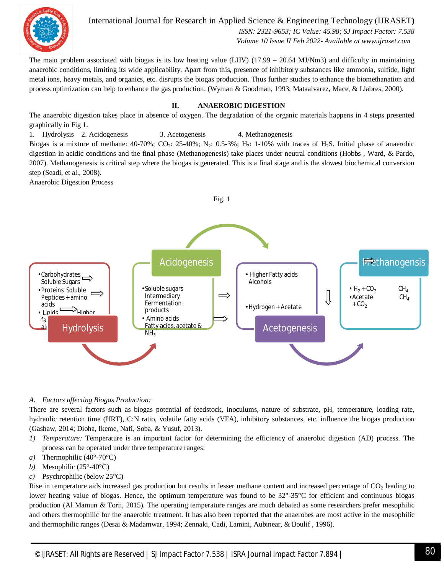

International Journal for Research in Applied Science & Engineering Technology (IJRASET**)**  *ISSN: 2321-9653; IC Value: 45.98; SJ Impact Factor: 7.538*

 *Volume 10 Issue II Feb 2022- Available at www.ijraset.com*

The main problem associated with biogas is its low heating value  $(LHV)$  (17.99 – 20.64 MJ/Nm3) and difficulty in maintaining anaerobic conditions, limiting its wide applicability. Apart from this, presence of inhibitory substances like ammonia, sulfide, light metal ions, heavy metals, and organics, etc. disrupts the biogas production. Thus further studies to enhance the biomethanation and process optimization can help to enhance the gas production. (Wyman & Goodman, 1993; Mataalvarez, Mace, & Llabres, 2000).

#### **II. ANAEROBIC DIGESTION**

The anaerobic digestion takes place in absence of oxygen. The degradation of the organic materials happens in 4 steps presented graphically in Fig 1.

1. Hydrolysis 2. Acidogenesis 3. Acetogenesis 4. Methanogenesis Biogas is a mixture of methane:  $40-70\%$ ; CO<sub>2</sub>:  $25-40\%$ ; N<sub>2</sub>:  $0.5-3\%$ ; H<sub>2</sub>: 1-10% with traces of H<sub>2</sub>S. Initial phase of anaerobic digestion in acidic conditions and the final phase (Methanogenesis) take places under neutral conditions (Hobbs , Ward, & Pardo, 2007). Methanogenesis is critical step where the biogas is generated. This is a final stage and is the slowest biochemical conversion step (Seadi, et al., 2008).

Anaerobic Digestion Process



#### *A. Factors affecting Biogas Production:*

There are several factors such as biogas potential of feedstock, inoculums, nature of substrate, pH, temperature, loading rate, hydraulic retention time (HRT), C:N ratio, volatile fatty acids (VFA), inhibitory substances, etc. influence the biogas production (Gashaw, 2014; Dioha, Ikeme, Nafi, Soba, & Yusuf, 2013).

- *1) Temperature:* Temperature is an important factor for determining the efficiency of anaerobic digestion (AD) process. The process can be operated under three temperature ranges:
- *a)* Thermophilic (40°-70°C)
- *b)* Mesophilic (25°-40°C)
- *c)* Psychrophilic (below 25°C)

Rise in temperature aids increased gas production but results in lesser methane content and increased percentage of  $CO<sub>2</sub>$  leading to lower heating value of biogas. Hence, the optimum temperature was found to be 32°-35°C for efficient and continuous biogas production (Al Mamun & Torii, 2015). The operating temperature ranges are much debated as some researchers prefer mesophilic and others thermophilic for the anaerobic treatment. It has also been reported that the anaerobes are most active in the mesophilic and thermophilic ranges (Desai & Madamwar, 1994; Zennaki, Cadi, Lamini, Aubinear, & Boulif , 1996).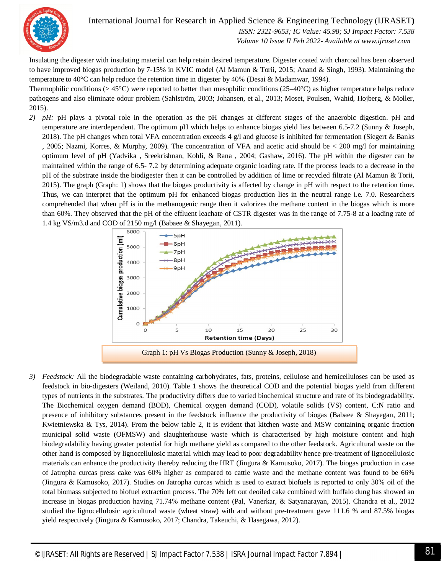

 *ISSN: 2321-9653; IC Value: 45.98; SJ Impact Factor: 7.538 Volume 10 Issue II Feb 2022- Available at www.ijraset.com*

Insulating the digester with insulating material can help retain desired temperature. Digester coated with charcoal has been observed to have improved biogas production by 7-15% in KVIC model (Al Mamun & Torii, 2015; Anand & Singh, 1993). Maintaining the temperature to 40°C can help reduce the retention time in digester by 40% (Desai & Madamwar, 1994).

Thermophilic conditions (> 45°C) were reported to better than mesophilic conditions (25–40°C) as higher temperature helps reduce pathogens and also eliminate odour problem (Sahlström, 2003; Johansen, et al., 2013; Moset, Poulsen, Wahid, Hojberg, & Moller, 2015).

*2) pH:* pH plays a pivotal role in the operation as the pH changes at different stages of the anaerobic digestion. pH and temperature are interdependent. The optimum pH which helps to enhance biogas yield lies between 6.5-7.2 (Sunny & Joseph, 2018). The pH changes when total VFA concentration exceeds 4 g/l and glucose is inhibited for fermentation (Siegert & Banks , 2005; Nazmi, Korres, & Murphy, 2009). The concentration of VFA and acetic acid should be < 200 mg/l for maintaining optimum level of pH (Yadvika , Sreekrishnan, Kohli, & Rana , 2004; Gashaw, 2016). The pH within the digester can be maintained within the range of 6.5- 7.2 by determining adequate organic loading rate. If the process leads to a decrease in the pH of the substrate inside the biodigester then it can be controlled by addition of lime or recycled filtrate (Al Mamun & Torii, 2015). The graph (Graph: 1) shows that the biogas productivity is affected by change in pH with respect to the retention time. Thus, we can interpret that the optimum pH for enhanced biogas production lies in the neutral range i.e. 7.0. Researchers comprehended that when pH is in the methanogenic range then it valorizes the methane content in the biogas which is more than 60%. They observed that the pH of the effluent leachate of CSTR digester was in the range of 7.75-8 at a loading rate of 1.4 kg VS/m3.d and COD of 2150 mg/l (Babaee & Shayegan, 2011).



*3) Feedstock:* All the biodegradable waste containing carbohydrates, fats, proteins, cellulose and hemicelluloses can be used as feedstock in bio-digesters (Weiland, 2010). Table 1 shows the theoretical COD and the potential biogas yield from different types of nutrients in the substrates. The productivity differs due to varied biochemical structure and rate of its biodegradability. The Biochemical oxygen demand (BOD), Chemical oxygen demand (COD), volatile solids (VS) content, C:N ratio and presence of inhibitory substances present in the feedstock influence the productivity of biogas (Babaee & Shayegan, 2011; Kwietniewska & Tys, 2014). From the below table 2, it is evident that kitchen waste and MSW containing organic fraction municipal solid waste (OFMSW) and slaughterhouse waste which is characterised by high moisture content and high biodegradability having greater potential for high methane yield as compared to the other feedstock. Agricultural waste on the other hand is composed by lignocellulosic material which may lead to poor degradability hence pre-treatment of lignocellulosic materials can enhance the productivity thereby reducing the HRT (Jingura & Kamusoko, 2017). The biogas production in case of Jatropha curcas press cake was 60% higher as compared to cattle waste and the methane content was found to be 66% (Jingura & Kamusoko, 2017). Studies on Jatropha curcas which is used to extract biofuels is reported to only 30% oil of the total biomass subjected to biofuel extraction process. The 70% left out deoiled cake combined with buffalo dung has showed an increase in biogas production having 71.74% methane content (Pal, Vanerkar, & Satyanarayan, 2015). Chandra et al., 2012 studied the lignocellulosic agricultural waste (wheat straw) with and without pre-treatment gave 111.6 % and 87.5% biogas yield respectively (Jingura & Kamusoko, 2017; Chandra, Takeuchi, & Hasegawa, 2012).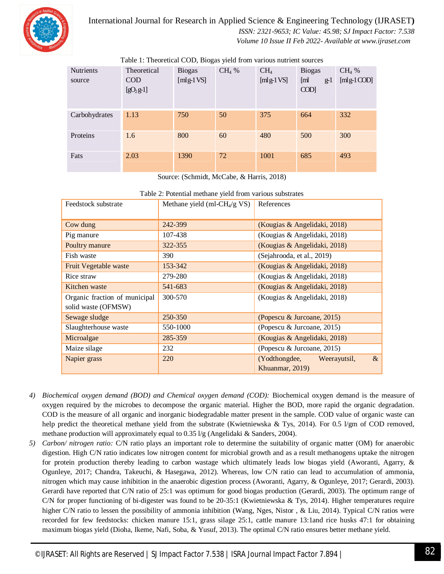

## International Journal for Research in Applied Science & Engineering Technology (IJRASET**)**  *ISSN: 2321-9653; IC Value: 45.98; SJ Impact Factor: 7.538*

 *Volume 10 Issue II Feb 2022- Available at www.ijraset.com*

| <b>Nutrients</b> | Theoretical              | <b>Biogas</b> | $CH4$ % | CH <sub>4</sub> | <b>Biogas</b>               | $CH4$ %    |
|------------------|--------------------------|---------------|---------|-----------------|-----------------------------|------------|
| source           | <b>COD</b><br>$[gO2g-1]$ | [ $mlg-1VS$ ] |         | [ $mlg-1VS$ ]   | [ml]<br>$g-1$<br>$\rm{COD}$ | [mlg-1COD] |
| Carbohydrates    | 1.13                     | 750           | 50      | 375             | 664                         | 332        |
| Proteins         | 1.6                      | 800           | 60      | 480             | 500                         | 300        |
| Fats             | 2.03                     | 1390          | 72      | 1001            | 685                         | 493        |

Table 1: Theoretical COD, Biogas yield from various nutrient sources

Source: (Schmidt, McCabe, & Harris, 2018)

| Table 2. I otential methane yield from various substrates |                                 |                                       |  |  |  |  |  |
|-----------------------------------------------------------|---------------------------------|---------------------------------------|--|--|--|--|--|
| Feedstock substrate                                       | Methane yield (ml- $CH4/g VS$ ) | References                            |  |  |  |  |  |
|                                                           |                                 |                                       |  |  |  |  |  |
| Cow dung                                                  | 242-399                         | (Kougias & Angelidaki, 2018)          |  |  |  |  |  |
| Pig manure                                                | 107-438                         | (Kougias & Angelidaki, 2018)          |  |  |  |  |  |
| Poultry manure                                            | 322-355                         | (Kougias & Angelidaki, 2018)          |  |  |  |  |  |
| Fish waste                                                | 390                             | (Sejahrooda, et al., 2019)            |  |  |  |  |  |
| Fruit Vegetable waste                                     | 153-342                         | (Kougias & Angelidaki, 2018)          |  |  |  |  |  |
| Rice straw                                                | 279-280                         | (Kougias & Angelidaki, 2018)          |  |  |  |  |  |
| Kitchen waste                                             | 541-683                         | (Kougias & Angelidaki, 2018)          |  |  |  |  |  |
| Organic fraction of municipal                             | 300-570                         | (Kougias & Angelidaki, 2018)          |  |  |  |  |  |
| solid waste (OFMSW)                                       |                                 |                                       |  |  |  |  |  |
| Sewage sludge                                             | 250-350                         | (Popescu & Jurcoane, 2015)            |  |  |  |  |  |
| Slaughterhouse waste                                      | 550-1000                        | (Popescu & Jurcoane, 2015)            |  |  |  |  |  |
| Microalgae                                                | 285-359                         | (Kougias & Angelidaki, 2018)          |  |  |  |  |  |
| Maize silage                                              | 232                             | (Popescu & Jurcoane, 2015)            |  |  |  |  |  |
| Napier grass                                              | 220                             | $\&$<br>(Yodthongdee,<br>Weerayutsil, |  |  |  |  |  |
|                                                           |                                 | Khuanmar, 2019)                       |  |  |  |  |  |

| Table 2: Potential methane yield from various substrates |  |
|----------------------------------------------------------|--|
|----------------------------------------------------------|--|

- *4) Biochemical oxygen demand (BOD) and Chemical oxygen demand (COD):* Biochemical oxygen demand is the measure of oxygen required by the microbes to decompose the organic material. Higher the BOD, more rapid the organic degradation. COD is the measure of all organic and inorganic biodegradable matter present in the sample. COD value of organic waste can help predict the theoretical methane yield from the substrate (Kwietniewska & Tys, 2014). For 0.5 l/gm of COD removed, methane production will approximately equal to 0.35 l/g (Angelidaki & Sanders, 2004).
- *5) Carbon/ nitrogen ratio:* C/N ratio plays an important role to determine the suitability of organic matter (OM) for anaerobic digestion. High C/N ratio indicates low nitrogen content for microbial growth and as a result methanogens uptake the nitrogen for protein production thereby leading to carbon wastage which ultimately leads low biogas yield (Aworanti, Agarry, & Ogunleye, 2017; Chandra, Takeuchi, & Hasegawa, 2012). Whereas, low C/N ratio can lead to accumulation of ammonia, nitrogen which may cause inhibition in the anaerobic digestion process (Aworanti, Agarry, & Ogunleye, 2017; Gerardi, 2003). Gerardi have reported that C/N ratio of 25:1 was optimum for good biogas production (Gerardi, 2003). The optimum range of C/N for proper functioning of bi-digester was found to be 20-35:1 (Kwietniewska & Tys, 2014). Higher temperatures require higher C/N ratio to lessen the possibility of ammonia inhibition (Wang, Nges, Nistor, & Liu, 2014). Typical C/N ratios were recorded for few feedstocks: chicken manure 15:1, grass silage 25:1, cattle manure 13:1and rice husks 47:1 for obtaining maximum biogas yield (Dioha, Ikeme, Nafi, Soba, & Yusuf, 2013). The optimal C/N ratio ensures better methane yield.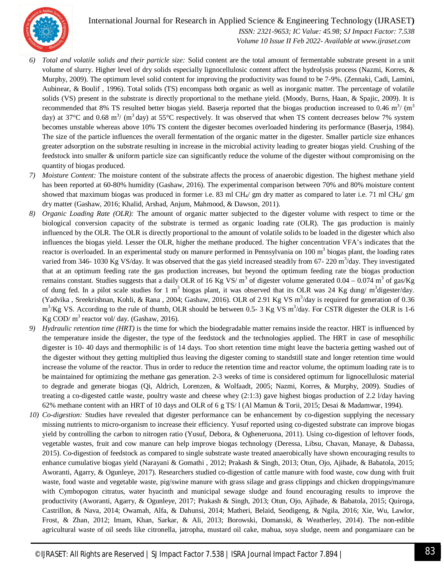

 *ISSN: 2321-9653; IC Value: 45.98; SJ Impact Factor: 7.538 Volume 10 Issue II Feb 2022- Available at www.ijraset.com*

- *6) Total and volatile solids and their particle size:* Solid content are the total amount of fermentable substrate present in a unit volume of slurry. Higher level of dry solids especially lignocellulosic content affect the hydrolysis process (Nazmi, Korres, & Murphy, 2009). The optimum level solid content for improving the productivity was found to be 7-9%. (Zennaki, Cadi, Lamini, Aubinear, & Boulif , 1996). Total solids (TS) encompass both organic as well as inorganic matter. The percentage of volatile solids (VS) present in the substrate is directly proportional to the methane yield. (Moody, Burns, Haan, & Spajic, 2009). It is recommended that 8% TS resulted better biogas yield. Baserja reported that the biogas production increased to 0.46  $m^3$ / $(m^3)$ day) at 37°C and 0.68 m<sup>3</sup>/ (m<sup>3</sup> day) at 55°C respectively. It was observed that when TS content decreases below 7% system becomes unstable whereas above 10% TS content the digester becomes overloaded hindering its performance (Baserja, 1984). The size of the particle influences the overall fermentation of the organic matter in the digester. Smaller particle size enhances greater adsorption on the substrate resulting in increase in the microbial activity leading to greater biogas yield. Crushing of the feedstock into smaller & uniform particle size can significantly reduce the volume of the digester without compromising on the quantity of biogas produced.
- *7) Moisture Content:* The moisture content of the substrate affects the process of anaerobic digestion. The highest methane yield has been reported at 60-80% humidity (Gashaw, 2016). The experimental comparison between 70% and 80% moisture content showed that maximum biogas was produced in former i.e. 83 ml CH $_4$ / gm dry matter as compared to later i.e. 71 ml CH $_4$ / gm dry matter (Gashaw, 2016; Khalid, Arshad, Anjum, Mahmood, & Dawson, 2011).
- *8) Organic Loading Rate (OLR):* The amount of organic matter subjected to the digester volume with respect to time or the biological conversion capacity of the substrate is termed as organic loading rate (OLR). The gas production is mainly influenced by the OLR. The OLR is directly proportional to the amount of volatile solids to be loaded in the digester which also influences the biogas yield. Lesser the OLR, higher the methane produced. The higher concentration VFA's indicates that the reactor is overloaded. In an experimental study on manure performed in Pennsylvania on 100 m<sup>3</sup> biogas plant, the loading rates varied from 346- 1030 Kg VS/day. It was observed that the gas yield increased steadily from 67- 220 m<sup>3</sup>/day. They investigated that at an optimum feeding rate the gas production increases, but beyond the optimum feeding rate the biogas production remains constant. Studies suggests that a daily OLR of 16 Kg VS/ $m^3$  of digester volume generated 0.04 – 0.074  $m^3$  of gas/Kg of dung fed. In a pilot scale studies for 1 m<sup>3</sup> biogas plant, it was observed that its OLR was 24 Kg dung/m<sup>3</sup>digester/day. (Yadvika, Sreekrishnan, Kohli, & Rana, 2004; Gashaw, 2016). OLR of 2.91 Kg VS m<sup>3</sup>/day is required for generation of 0.36  $\rm m^3/Kg$  VS. According to the rule of thumb, OLR should be between 0.5- 3 Kg VS  $\rm m^3/day$ . For CSTR digester the OLR is 1-6 Kg COD/ $m^3$  reactor vol/day. (Gashaw, 2016).
- *9) Hydraulic retention time (HRT)* is the time for which the biodegradable matter remains inside the reactor. HRT is influenced by the temperature inside the digester, the type of the feedstock and the technologies applied. The HRT in case of mesophilic digester is 10- 40 days and thermophilic is of 14 days. Too short retention time might leave the bacteria getting washed out of the digester without they getting multiplied thus leaving the digester coming to standstill state and longer retention time would increase the volume of the reactor. Thus in order to reduce the retention time and reactor volume, the optimum loading rate is to be maintained for optimizing the methane gas generation. 2-3 weeks of time is considered optimum for lignocellulosic material to degrade and generate biogas (Qi, Aldrich, Lorenzen, & Wolfaadt, 2005; Nazmi, Korres, & Murphy, 2009). Studies of treating a co-digested cattle waste, poultry waste and cheese whey (2:1:3) gave highest biogas production of 2.2 l/day having 62% methane content with an HRT of 10 days and OLR of 6 g TS/ l (Al Mamun & Torii, 2015; Desai & Madamwar, 1994).
- *10) Co-digestion:* Studies have revealed that digester performance can be enhancement by co-digestion supplying the necessary missing nutrients to micro-organism to increase their efficiency. Yusuf reported using co-digested substrate can improve biogas yield by controlling the carbon to nitrogen ratio (Yusuf, Debora, & Ogheneruona, 2011). Using co-digestion of leftover foods, vegetable wastes, fruit and cow manure can help improve biogas technology (Deressa, Libsu, Chavan, Manaye, & Dabassa, 2015). Co-digestion of feedstock as compared to single substrate waste treated anaerobically have shown encouraging results to enhance cumulative biogas yield (Narayani & Gomathi , 2012; Prakash & Singh, 2013; Otun, Ojo, Ajibade, & Babatola, 2015; Aworanti, Agarry, & Ogunleye, 2017). Researchers studied co-digestion of cattle manure with food waste, cow dung with fruit waste, food waste and vegetable waste, pig/swine manure with grass silage and grass clippings and chicken droppings/manure with Cymbopogon citratus, water hyacinth and municipal sewage sludge and found encouraging results to improve the productivity (Aworanti, Agarry, & Ogunleye, 2017; Prakash & Singh, 2013; Otun, Ojo, Ajibade, & Babatola, 2015; Quiroga, Castrillon, & Nava, 2014; Owamah, Alfa, & Dahunsi, 2014; Matheri, Belaid, Seodigeng, & Ngila, 2016; Xie, Wu, Lawlor, Frost, & Zhan, 2012; Imam, Khan, Sarkar, & Ali, 2013; Borowski, Domanski, & Weatherley, 2014). The non-edible agricultural waste of oil seeds like citronella, jatropha, mustard oil cake, mahua, soya sludge, neem and pongamiaare can be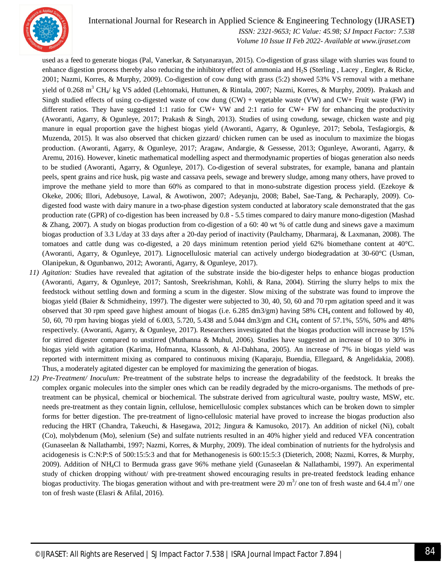

 *ISSN: 2321-9653; IC Value: 45.98; SJ Impact Factor: 7.538 Volume 10 Issue II Feb 2022- Available at www.ijraset.com*

used as a feed to generate biogas (Pal, Vanerkar, & Satyanarayan, 2015). Co-digestion of grass silage with slurries was found to enhance digestion process thereby also reducing the inhibitory effect of ammonia and H2S (Sterling , Lacey , Engler, & Ricke, 2001; Nazmi, Korres, & Murphy, 2009). Co-digestion of cow dung with grass (5:2) showed 53% VS removal with a methane yield of 0.268 m<sup>3</sup> CH<sub>4</sub>/ kg VS added (Lehtomaki, Huttunen, & Rintala, 2007; Nazmi, Korres, & Murphy, 2009). Prakash and Singh studied effects of using co-digested waste of cow dung (CW) + vegetable waste (VW) and CW+ Fruit waste (FW) in different ratios. They have suggested 1:1 ratio for CW+ VW and 2:1 ratio for CW+ FW for enhancing the productivity (Aworanti, Agarry, & Ogunleye, 2017; Prakash & Singh, 2013). Studies of using cowdung, sewage, chicken waste and pig manure in equal proportion gave the highest biogas yield (Aworanti, Agarry, & Ogunleye, 2017; Sebola, Tesfagiorgis, & Muzenda, 2015). It was also observed that chicken gizzard/ chicken rumen can be used as inoculum to maximize the biogas production. (Aworanti, Agarry, & Ogunleye, 2017; Aragaw, Andargie, & Gessesse, 2013; Ogunleye, Aworanti, Agarry, & Aremu, 2016). However, kinetic mathematical modelling aspect and thermodynamic properties of biogas generation also needs to be studied (Aworanti, Agarry, & Ogunleye, 2017). Co-digestion of several substrates, for example, banana and plantain peels, spent grains and rice husk, pig waste and cassava peels, sewage and brewery sludge, among many others, have proved to improve the methane yield to more than  $60\%$  as compared to that in mono-substrate digestion process yield. (Ezekoye  $\&$ Okeke, 2006; Illori, Adebusoye, Lawal, & Awotiwon, 2007; Adeyanju, 2008; Babel, Sae-Tang, & Pecharaply, 2009). Codigested food waste with dairy manure in a two-phase digestion system conducted at laboratory scale demonstrated that the gas production rate (GPR) of co-digestion has been increased by 0.8 - 5.5 times compared to dairy manure mono-digestion (Mashad & Zhang, 2007). A study on biogas production from co-digestion of a 60: 40 wt % of cattle dung and sinews gave a maximum biogas production of 3.3 L/day at 33 days after a 20-day period of inactivity (Paulchamy, Dharmaraj, & Laxmanan, 2008). The tomatoes and cattle dung was co-digested, a 20 days minimum retention period yield 62% biomethane content at 40°C. (Aworanti, Agarry, & Ogunleye, 2017). Lignocellulosic material can actively undergo biodegradation at 30-60°C (Usman, Olanipekun, & Ogunbanwo, 2012; Aworanti, Agarry, & Ogunleye, 2017).

- *11) Agitation:* Studies have revealed that agitation of the substrate inside the bio-digester helps to enhance biogas production (Aworanti, Agarry, & Ogunleye, 2017; Santosh, Sreekrishman, Kohli, & Rana, 2004). Stirring the slurry helps to mix the feedstock without settling down and forming a scum in the digester. Slow mixing of the substrate was found to improve the biogas yield (Baier & Schmidheiny, 1997). The digester were subjected to 30, 40, 50, 60 and 70 rpm agitation speed and it was observed that 30 rpm speed gave highest amount of biogas (i.e. 6.285 dm3/gm) having 58% CH<sup>4</sup> content and followed by 40, 50, 60, 70 rpm having biogas yield of 6.003, 5.720, 5.438 and 5.044 dm3/gm and CH<sup>4</sup> content of 57.1%, 55%, 50% and 48% respectively. (Aworanti, Agarry, & Ogunleye, 2017). Researchers investigated that the biogas production will increase by 15% for stirred digester compared to unstirred (Muthanna & Muhul, 2006). Studies have suggested an increase of 10 to 30% in biogas yield with agitation (Karima, Hofmanna, Klassonb, & Al-Dahhana, 2005). An increase of 7% in biogas yield was reported with intermittent mixing as compared to continuous mixing (Kaparaju, Buendia, Ellegaard, & Angelidakia, 2008). Thus, a moderately agitated digester can be employed for maximizing the generation of biogas.
- *12) Pre-Treatment/ Inoculum:* Pre-treatment of the substrate helps to increase the degradability of the feedstock. It breaks the complex organic molecules into the simpler ones which can be readily degraded by the micro-organisms. The methods of pretreatment can be physical, chemical or biochemical. The substrate derived from agricultural waste, poultry waste, MSW, etc. needs pre-treatment as they contain lignin, cellulose, hemicellulosic complex substances which can be broken down to simpler forms for better digestion. The pre-treatment of ligno-cellulosic material have proved to increase the biogas production also reducing the HRT (Chandra, Takeuchi, & Hasegawa, 2012; Jingura & Kamusoko, 2017). An addition of nickel (Ni), cobalt (Co), molybdenum (Mo), selenium (Se) and sulfate nutrients resulted in an 40% higher yield and reduced VFA concentration (Gunaseelan & Nallathambi, 1997; Nazmi, Korres, & Murphy, 2009). The ideal combination of nutrients for the hydrolysis and acidogenesis is C:N:P:S of 500:15:5:3 and that for Methanogenesis is 600:15:5:3 (Dieterich, 2008; Nazmi, Korres, & Murphy, 2009). Addition of NH4Cl to Bermuda grass gave 96% methane yield (Gunaseelan & Nallathambi, 1997). An experimental study of chicken dropping without/ with pre-treatment showed encouraging results in pre-treated feedstock leading enhance biogas productivity. The biogas generation without and with pre-treatment were 20  $m^3$  one ton of fresh waste and 64.4  $m^3$  one ton of fresh waste (Elasri & Afilal, 2016).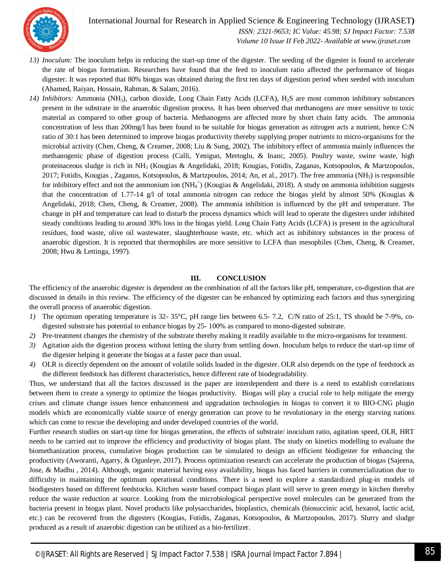

 *ISSN: 2321-9653; IC Value: 45.98; SJ Impact Factor: 7.538 Volume 10 Issue II Feb 2022- Available at www.ijraset.com*

- *13) Inoculum:* The inoculum helps in reducing the start-up time of the digester. The seeding of the digester is found to accelerate the rate of biogas formation. Researchers have found that the feed to inoculum ratio affected the performance of biogas digester. It was reported that 80% biogas was obtained during the first ten days of digestion period when seeded with inoculum (Ahamed, Raiyan, Hossain, Rahman, & Salam, 2016).
- *14) Inhibitors:* Ammonia (NH3), carbon dioxide, Long Chain Fatty Acids (LCFA), H2S are most common inhibitory substances present in the substrate in the anaerobic digestion process. It has been observed that methanogens are more sensitive to toxic material as compared to other group of bacteria. Methanogens are affected more by short chain fatty acids. The ammonia concentration of less than 200mg/l has been found to be suitable for biogas generation as nitrogen acts a nutrient, hence C:N ratio of 30:1 has been determined to improve biogas productivity thereby supplying proper nutrients to micro-organisms for the microbial activity (Chen, Cheng, & Creamer, 2008; Liu & Sung, 2002). The inhibitory effect of ammonia mainly influences the methanogenic phase of digestion process (Calli, Yenigun, Mertoglu, & Inanc, 2005). Poultry waste, swine waste, high proteinaceous sludge is rich in NH<sup>3</sup> (Kougias & Angelidaki, 2018; Kougias, Fotidis, Zaganas, Kotsopoulos, & Martzopoulos, 2017; Fotidis, Kougias , Zaganus, Kotsopoulos, & Martzpoulos, 2014; An, et al., 2017). The free ammonia (NH<sub>3</sub>) is responsible for inhibitory effect and not the ammonium ion  $(NH_4^+)$  (Kougias & Angelidaki, 2018). A study on ammonia inhibition suggests that the concentration of 1.77-14 g/l of total ammonia nitrogen can reduce the biogas yield by almost 50% (Kougias & Angelidaki, 2018; Chen, Cheng, & Creamer, 2008). The ammonia inhibition is influenced by the pH and temperature. The change in pH and temperature can lead to disturb the process dynamics which will lead to operate the digesters under inhibited steady conditions leading to around 30% loss in the biogas yield. Long Chain Fatty Acids (LCFA) is present in the agricultural residues, food waste, olive oil wastewater, slaughterhouse waste, etc. which act as inhibitory substances in the process of anaerobic digestion. It is reported that thermophiles are more sensitive to LCFA than mesophiles (Chen, Cheng, & Creamer, 2008; Hwu & Lettinga, 1997).

#### **III. CONCLUSION**

The efficiency of the anaerobic digester is dependent on the combination of all the factors like pH, temperature, co-digestion that are discussed in details in this review. The efficiency of the digester can be enhanced by optimizing each factors and thus synergizing the overall process of anaerobic digestion.

- *1)* The optimum operating temperature is 32- 35°C, pH range lies between 6.5- 7.2, C/N ratio of 25:1, TS should be 7-9%, codigested substrate has potential to enhance biogas by 25- 100% as compared to mono-digested substrate.
- *2)* Pre-treatment changes the chemistry of the substrate thereby making it readily available to the micro-organisms for treatment.
- *3)* Agitation aids the digestion process without letting the slurry from settling down. Inoculum helps to reduce the start-up time of the digester helping it generate the biogas at a faster pace than usual.
- *4)* OLR is directly dependent on the amount of volatile solids loaded in the digester. OLR also depends on the type of feedstock as the different feedstock has different characteristics, hence different rate of biodegradability.

Thus, we understand that all the factors discussed in the paper are interdependent and there is a need to establish correlations between them to create a synergy to optimize the biogas productivity.Biogas will play a crucial role to help mitigate the energy crises and climate change issues hence enhancement and upgradation technologies in biogas to convert it to BIO-CNG plugin models which are economically viable source of energy generation can prove to be revolutionary in the energy starving nations which can come to rescue the developing and under developed countries of the world.

Further research studies on start-up time for biogas generation, the effects of substrate/ inoculum ratio, agitation speed, OLR, HRT needs to be carried out to improve the efficiency and productivity of biogas plant. The study on kinetics modelling to evaluate the biomethanization process, cumulative biogas production can be simulated to design an efficient biodigester for enhancing the productivity (Aworanti, Agarry, & Ogunleye, 2017). Process optimization research can accelerate the production of biogas (Sajeena, Jose, & Madhu , 2014). Although, organic material having easy availability, biogas has faced barriers in commercialization due to difficulty in maintaining the optimum operational conditions. There is a need to explore a standardized plug-in models of biodigesters based on different feedstocks. Kitchen waste based compact biogas plant will serve to green energy in kitchen thereby reduce the waste reduction at source. Looking from the microbiological perspective novel molecules can be generated from the bacteria present in biogas plant. Novel products like polysaccharides, bioplastics, chemicals (biosuccinic acid, hexanol, lactic acid, etc.) can be recovered from the digesters (Kougias, Fotidis, Zaganas, Kotsopoulos, & Martzopoulos, 2017). Slurry and sludge produced as a result of anaerobic digestion can be utilized as a bio-fertilizer.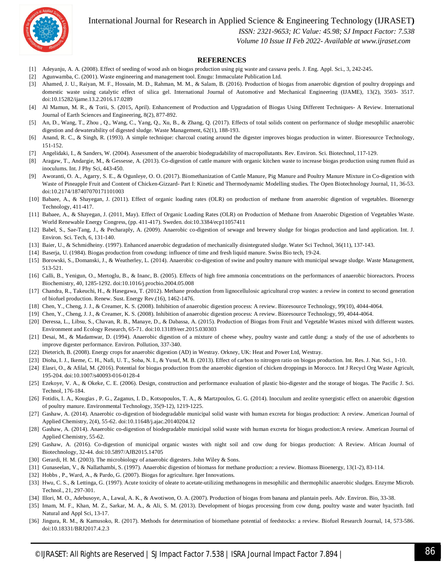

 *ISSN: 2321-9653; IC Value: 45.98; SJ Impact Factor: 7.538*

 *Volume 10 Issue II Feb 2022- Available at www.ijraset.com*

#### **REFERENCES**

- [1] Adeyanju, A. A. (2008). Effect of seeding of wood ash on biogas production using pig waste and cassava peels. J. Eng. Appl. Sci., 3, 242-245.
- [2] Agunwamba, C. (2001). Waste engineering and management tool. Enugu: Immaculate Publication Ltd.
- [3] Ahamed, J. U., Raiyan, M. F., Hossain, M. D., Rahman, M. M., & Salam, B. (2016). Production of biogas from anaerobic digestion of poultry droppings and domestic waste using catalytic effect of silica gel. International Journal of Automotive and Mechanical Engineering (IJAME), 13(2), 3503- 3517. doi:10.15282/ijame.13.2.2016.17.0289
- [4] Al Mamun, M. R., & Torii, S. (2015, April). Enhancement of Production and Upgradation of Biogas Using Different Techniques- A Review. International Journal of Earth Sciences and Engineering, 8(2), 877-892.
- [5] An, D., Wang, T., Zhou , Q., Wang, C., Yang, Q., Xu, B., & Zhang, Q. (2017). Effects of total solids content on performance of sludge mesophilic anaerobic digestion and dewaterability of digested sludge. Waste Management, 62(1), 188-193.
- [6] Anand, R. C., & Singh, R. (1993). A simple technique: charcoal coating around the digester improves biogas production in winter. Bioresource Technology, 151-152.
- [7] Angelidaki, I., & Sanders, W. (2004). Assessment of the anaerobic biodegradability of macropollutants. Rev. Environ. Sci. Biotechnol, 117-129.
- [8] Aragaw, T., Andargie, M., & Gessesse, A. (2013). Co-digestion of cattle manure with organic kitchen waste to increase biogas production using rumen fluid as inoculums. Int. J Phy Sci, 443-450.
- [9] Aworanti, O. A., Agarry, S. E., & Ogunleye, O. O. (2017). Biomethanization of Cattle Manure, Pig Manure and Poultry Manure Mixture in Co-digestion with Waste of Pineapple Fruit and Content of Chicken-Gizzard- Part I: Kinetic and Thermodynamic Modelling studies. The Open Biotechnology Journal, 11, 36-53. doi:10.2174/187407070171101003
- [10] Babaee, A., & Shayegan, J. (2011). Effect of organic loading rates (OLR) on production of methane from anaerobic digestion of vegetables. Bioenergy Technology, 411-417.
- [11] Babaee, A., & Shayegan, J. (2011, May). Effect of Organic Loading Rates (OLR) on Production of Methane from Anaerobic Digestion of Vegetables Waste. World Renewable Energy Congress, (pp. 411-417). Sweden. doi:10.3384/ecp11057411
- [12] Babel, S., Sae-Tang, J., & Pecharaply, A. (2009). Anaerobic co-digestion of sewage and brewery sludge for biogas production and land application. Int. J. Environ. Sci. Tech, 6, 131-140.
- [13] Baier, U., & Schmidheiny. (1997). Enhanced anaerobic degradation of mechanically disintegrated sludge. Water Sci Technol, 36(11), 137-143.
- [14] Baserja, U. (1984). Biogas production from cowdung: influence of time and fresh liquid manure. Swiss Bio tech, 19-24.
- [15] Borowski, S., Domanski, J., & Weatherley, L. (2014). Anaerobic co-digestion of swine and poultry manure with municipal sewage sludge. Waste Management, 513-521.
- [16] Calli, B., Yenigun, O., Mertoglu, B., & Inanc, B. (2005). Effects of high free ammonia concentrations on the performances of anaerobic bioreactors. Process Biochemistry, 40, 1285-1292. doi:10.1016/j.procbio.2004.05.008
- [17] Chandra, R., Takeuchi, H., & Hasegawa, T. (2012). Methane production from lignocellulosic agricultural crop wastes: a review in context to second generation of biofuel production. Renew. Sust. Energy Rev.(16), 1462-1476.
- [18] Chen, Y., Cheng, J. J., & Creamer, K. S. (2008). Inhibition of anaerobic digestion process: A review. Bioresource Technology, 99(10), 4044-4064.
- [19] Chen, Y., Cheng, J. J., & Creamer, K. S. (2008). Inhibition of anaerobic digestion process: A review. Bioresource Technology, 99, 4044-4064.
- [20] Deressa, L., Libsu, S., Chavan, R. B., Manaye, D., & Dabassa, A. (2015). Production of Biogas from Fruit and Vegetable Wastes mixed with different wastes. Environment and Ecology Research, 65-71. doi:10.13189/eer.2015.030303
- [21] Desai, M., & Madamwar, D. (1994). Anaerobic digestion of a mixture of cheese whey, poultry waste and cattle dung: a study of the use of adsorbents to improve digester performance. Environ. Pollution, 337-340.
- [22] Dieterich, B. (2008). Energy crops for anaerobic digestion (AD) in Westray. Orkney, UK: Heat and Power Ltd, Westray.
- [23] Dioha, I. J., Ikeme, C. H., Nafi, U. T., Soba, N. I., & Yusuf, M. B. (2013). Effect of carbon to nitrogen ratio on biogas production. Int. Res. J. Nat. Sci., 1-10.
- [24] Elasri, O., & Afilal, M. (2016). Potential for biogas production from the anaerobic digestion of chicken droppings in Morocco. Int J Recycl Org Waste Agricult, 195-204. doi:10.1007/s40093-016-0128-4
- [25] Ezekoye, V. A., & Okeke, C. E. (2006). Design, construction and performance evaluation of plastic bio-digester and the storage of biogas. The Pacific J. Sci. Technol, 176-184.
- [26] Fotidis, I. A., Kougias , P. G., Zaganus, I. D., Kotsopoulos, T. A., & Martzpoulos, G. G. (2014). Inoculum and zeolite synergistic effect on anaerobic digestion of poultry manure. Environmental Technology, 35(9-12), 1219-1225.
- [27] Gashaw, A. (2014). Anaerobic co-digestion of biodegradable municipal solid waste with human excreta for biogas production: A review. American Journal of Applied Chemistry, 2(4), 55-62. doi:10.11648/j.ajac.20140204.12
- [28] Gashaw, A. (2014). Anaerobic co-digestion of biodegradable municipal solid waste with human excreta for biogas production:A review. American Journal of Applied Chemistry, 55-62.
- [29] Gashaw, A. (2016). Co-digestion of municipal organic wastes with night soil and cow dung for biogas production: A Review. African Journal of Biotechnology, 32-44. doi:10.5897/AJB2015.14705
- [30] Gerardi, H. M. (2003). The microbiology of anaerobic digesters. John Wiley & Sons.
- [31] Gunaseelan, V., & Nallathambi, S. (1997). Anaerobic digestion of biomass for methane production: a review. Biomass Bioenergy, 13(1-2), 83-114.
- [32] Hobbs , P., Ward, A., & Pardo, G. (2007). Biogas for agriculture. Iger Innovations.
- [33] Hwu, C. S., & Lettinga, G. (1997). Acute toxicity of oleate to acetate-utilizing methanogens in mesophilic and thermophilic anaerobic sludges. Enzyme Microb. Technol., 21, 297-301.
- [34] Illori, M. O., Adebusoye, A., Lawal, A. K., & Awotiwon, O. A. (2007). Production of biogas from banana and plantain peels. Adv. Environ. Bio, 33-38.
- [35] Imam, M. F., Khan, M. Z., Sarkar, M. A., & Ali, S. M. (2013). Development of biogas processing from cow dung, poultry waste and water hyacinth. Intl Natural and Appl Sci, 13-17.
- [36] Jingura, R. M., & Kamusoko, R. (2017). Methods for determination of biomethane potential of feedstocks: a review. Biofuel Research Journal, 14, 573-586. doi:10.18331/BRJ2017.4.2.3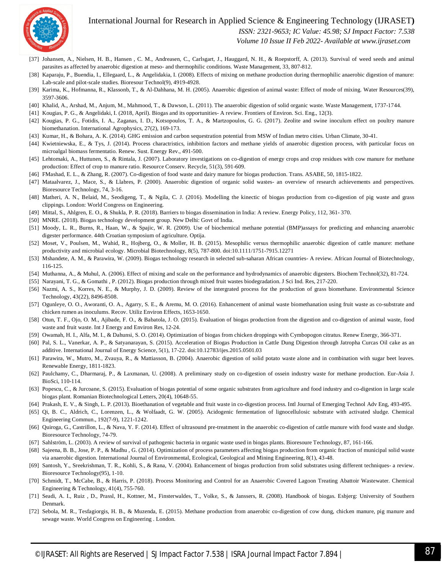

 *ISSN: 2321-9653; IC Value: 45.98; SJ Impact Factor: 7.538*

 *Volume 10 Issue II Feb 2022- Available at www.ijraset.com*

- [37] Johansen, A., Nielsen, H. B., Hansen, C. M., Andreasen, C., Carlsgart, J., Hauggard, N. H., & Roepstorff, A. (2013). Survival of weed seeds and animal parasites as affected by anaerobic digestion at meso- and thermophilic conditions. Waste Management, 33, 807-812.
- [38] Kaparaju, P., Buendia, I., Ellegaard, L., & Angelidakia, I. (2008). Effects of mixing on methane production during thermophilic anaerobic digestion of manure: Lab-scale and pilot-scale studies. Bioresour Technol(9), 4919-4928.
- [39] Karima, K., Hofmanna, R., Klassonb, T., & Al-Dahhana, M. H. (2005). Anaerobic digestion of animal waste: Effect of mode of mixing. Water Resources(39), 3597-3606.
- [40] Khalid, A., Arshad, M., Anjum, M., Mahmood, T., & Dawson, L. (2011). The anaerobic digestion of solid organic waste. Waste Management, 1737-1744.
- [41] Kougias, P. G., & Angelidaki, I. (2018, April). Biogas and its opportunities- A review. Frontiers of Environ. Sci. Eng., 12(3).
- [42] Kougias, P. G., Fotidis, I. A., Zaganas, I. D., Kotsopoulos, T. A., & Martzopoulos, G. G. (2017). Zeolite and swine inoculum effect on poultry manure biomethanation. International Agrophysics, 27(2), 169-173.
- [43] Kumar, H., & Bohara, A. K. (2014). GHG emission and carbon sequestration potential from MSW of Indian metro cities. Urban Climate, 30-41.
- [44] Kwietniewska, E., & Tys, J. (2014). Process charactristics, inhibition factors and methane yields of anaerobic digestion process, with particular focus on microalgal biomass fermentatio. Renew. Sust. Energy Rev., 491-500.
- [45] Lehtomaki, A., Huttunen, S., & Rintala, J. (2007). Laboratory investigations on co-digestion of energy crops and crop residues with cow manure for methane production: Effect of crop to manure ratio. Resource Conserv. Recycle, 51(3), 591-609.
- [46] FMashad, E. L., & Zhang, R. (2007). Co-digestion of food waste and dairy manure for biogas production. Trans. ASABE, 50, 1815-1822.
- [47] Mataalvarez, J., Mace, S., & Llabres, P. (2000). Anaerobic digestion of organic solid wastes- an overview of research achievements and perspectives. Bioresource Technology, 74, 3-16.
- [48] Matheri, A. N., Belaid, M., Seodigeng, T., & Ngila, C. J. (2016). Modelling the kinectic of biogas production from co-digestion of pig waste and grass clippings. London: World Congress on Engineering.
- [49] Mittal, S., Ahlgren, E. O., & Shukla, P. R. (2018). Barriers to biogas dissemination in India: A review. Energy Policy, 112, 361- 370.
- [50] MNRE. (2018). Biogas technology development group. New Delhi: Govt of India.
- [51] Moody, L. R., Burns, R., Haan, W., & Spajic, W. R. (2009). Use of biochemical methane potential (BMP)assays for predicting and enhancing anaerobic digester performance. 44th Croatian symposium of agriculture. Optija.
- [52] Moset, V., Poulsen, M., Wahid, R., Hojberg, O., & Moller, H. B. (2015). Mesophilic versus thermophilic anaerobic digestion of cattle manure: methane productivity and microbial ecology. Microbial Biotechnology, 8(5), 787-800. doi:10.1111/1751-7915.12271
- [53] Mshandete, A. M., & Parawira, W. (2009). Biogas technology research in selected sub-saharan African countries- A review. African Journal of Biotechnology, 116-125.
- [54] Muthanna, A., & Muhul, A. (2006). Effect of mixing and scale on the performance and hydrodynamics of anaerobic digesters. Biochem Technol(32), 81-724.
- [55] Narayani, T. G., & Gomathi , P. (2012). Biogas production through mixed fruit wastes biodegradation. J Sci Ind. Res, 217-220.
- [56] Nazmi, A. S., Korres, N. E., & Murphy, J. D. (2009). Review of the intergrated process for the production of grass biomethane. Environmental Science Technology, 43(22), 8496-8508.
- [57] Ogunleye, O. O., Aworanti, O. A., Agarry, S. E., & Aremu, M. O. (2016). Enhancement of animal waste biomethanation using fruit waste as co-substrate and chicken rumen as inoculums. Recov. Utiliz Environ Effects, 1653-1650.
- [58] Otun, T. F., Ojo, O. M., Ajibade, F. O., & Babatola, J. O. (2015). Evaluation of biogas production from the digestion and co-digestion of animal waste, food waste and fruit waste. Int J Energy and Environ Res, 12-24.
- [59] Owamah, H. I., Alfa, M. I., & Dahunsi, S. O. (2014). Optimization of biogas from chicken droppings with Cymbopogon citratus. Renew Energy, 366-371.
- [60] Pal, S. L., Vanerkar, A. P., & Satyanarayan, S. (2015). Acceleration of Biogas Production in Cattle Dung Digestion through Jatropha Curcas Oil cake as an additive. International Journal of Energy Science, 5(1), 17-22. doi:10.12783/ijes.2015.0501.03
- [61] Parawira, W., Mutro, M., Zvauya, R., & Mattiasson, B. (2004). Anaerobic digestion of solid potato waste alone and in combination with sugar beet leaves. Renewable Energy, 1811-1823.
- [62] Paulchamy, C., Dharmaraj, P., & Laxmanan, U. (2008). A preliminary study on co-digestion of ossein industry waste for methane production. Eur-Asia J. BioSci, 110-114.
- [63] Popescu, C., & Jurcoane, S. (2015). Evaluation of biogas potential of some organic substrates from agriculture and food industry and co-digestion in large scale biogas plant. Romanian Biotechnological Letters, 20(4), 10648-55.
- [64] Prakash, E. V., & Singh, L. P. (2013). Bioethanation of vegetable and fruit waste in co-digestion process. Intl Journal of Emerging Technol Adv Eng, 493-495.
- [65] Qi, B. C., Aldrich, C., Lorenzen, L., & Wolfaadt, G. W. (2005). Acidogenic fermentation of lignocellulosic substrate with activated sludge. Chemical Engineering Commun., 192(7-9), 1221-1242.
- [66] Quiroga, G., Castrillon, L., & Nava, Y. F. (2014). Effect of ultrasound pre-treatment in the anaerobic co-digestion of cattle manure with food waste and sludge. Bioresource Technology, 74-79.
- [67] Sahlström, L. (2003). A review of survival of pathogenic bacteria in organic waste used in biogas plants. Bioresoure Technology, 87, 161-166.
- [68] Sajeena, B. B., Jose, P. P., & Madhu , G. (2014). Optimization of process parameters affecting biogas production from organic fraction of municipal solid waste via anaerobic digestion. International Journal of Environmental, Ecological, Geological and Mining Engineering, 8(1), 43-48.
- [69] Santosh, Y., Sreekrishman, T. R., Kohli, S., & Rana, V. (2004). Enhancement of biogas production from solid substrates using different techniques- a review. Bioresource Technology(95), 1-10.
- [70] Schmidt, T., McCabe, B., & Harris, P. (2018). Process Monitoring and Control for an Anaerobic Covered Lagoon Treating Abattoir Wastewater. Chemical Engineering & Technology, 41(4), 755-760.
- [71] Seadi, A. I., Ruiz , D., Prassl, H., Kottner, M., Finsterwaldes, T., Volke, S., & Janssers, R. (2008). Handbook of biogas. Esbjerg: University of Southern Denmark.
- [72] Sebola, M. R., Tesfagiorgis, H. B., & Muzenda, E. (2015). Methane production from anaerobic co-digestion of cow dung, chicken manure, pig manure and sewage waste. World Congress on Engineering . London.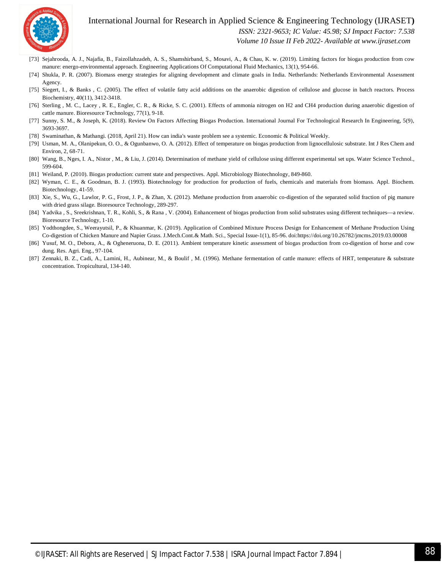

 *ISSN: 2321-9653; IC Value: 45.98; SJ Impact Factor: 7.538*

 *Volume 10 Issue II Feb 2022- Available at www.ijraset.com*

- [73] Sejahrooda, A. J., Najafia, B., Faizollahzadeh, A. S., Shamshirband, S., Mosavi, A., & Chau, K. w. (2019). Limiting factors for biogas production from cow manure: energo-environmental approach. Engineering Applications Of Computational Fluid Mechanics, 13(1), 954-66.
- [74] Shukla, P. R. (2007). Biomass energy strategies for aligning development and climate goals in India. Netherlands: Netherlands Environmental Assessment Agency.
- [75] Siegert, I., & Banks, C. (2005). The effect of volatile fatty acid additions on the anaerobic digestion of cellulose and glucose in batch reactors. Process Biochemistry, 40(11), 3412-3418.
- [76] Sterling , M. C., Lacey , R. E., Engler, C. R., & Ricke, S. C. (2001). Effects of ammonia nitrogen on H2 and CH4 production during anaerobic digestion of cattle manure. Bioresource Technology, 77(1), 9-18.
- [77] Sunny, S. M., & Joseph, K. (2018). Review On Factors Affecting Biogas Production. International Journal For Technological Research In Engineering, 5(9), 3693-3697.
- [78] Swaminathan, & Mathangi. (2018, April 21). How can india's waste problem see a systemic. Economic & Political Weekly.
- [79] Usman, M. A., Olanipekun, O. O., & Ogunbanwo, O. A. (2012). Effect of temperature on biogas production from lignocellulosic substrate. Int J Res Chem and Environ, 2, 68-71.
- [80] Wang, B., Nges, I. A., Nistor , M., & Liu, J. (2014). Determination of methane yield of cellulose using different experimental set ups. Water Science Technol., 599-604.
- [81] Weiland, P. (2010). Biogas production: current state and perspectives. Appl. Microbiology Biotechnology, 849-860.
- [82] Wyman, C. E., & Goodman, B. J. (1993). Biotechnology for production for production of fuels, chemicals and materials from biomass. Appl. Biochem. Biotechnology, 41-59.
- [83] Xie, S., Wu, G., Lawlor, P. G., Frost, J. P., & Zhan, X. (2012). Methane production from anaerobic co-digestion of the separated solid fraction of pig manure with dried grass silage. Bioresource Technology, 289-297.
- [84] Yadvika , S., Sreekrishnan, T. R., Kohli, S., & Rana , V. (2004). Enhancement of biogas production from solid substrates using different techniques––a review. Bioresource Technology, 1-10.
- [85] Yodthongdee, S., Weerayutsil, P., & Khuanmar, K. (2019). Application of Combined Mixture Process Design for Enhancement of Methane Production Using Co-digestion of Chicken Manure and Napier Grass. J.Mech.Cont.& Math. Sci., Special Issue-1(1), 85-96. doi:https://doi.org/10.26782/jmcms.2019.03.00008
- [86] Yusuf, M. O., Debora, A., & Ogheneruona, D. E. (2011). Ambient temperature kinetic assessment of biogas production from co-digestion of horse and cow dung. Res. Agri. Eng., 97-104.
- [87] Zennaki, B. Z., Cadi, A., Lamini, H., Aubinear, M., & Boulif , M. (1996). Methane fermentation of cattle manure: effects of HRT, temperature & substrate concentration. Tropicultural, 134-140.